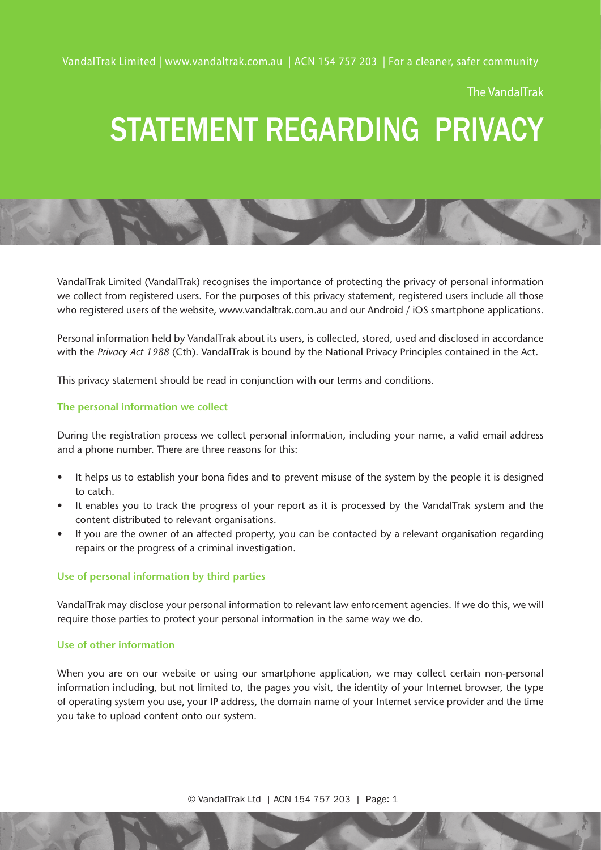VandalTrak Limited | www.vandaltrak.com.au | ACN 154 757 203 | For a cleaner, safer community

The VandalTrak

# STATEMENT REGARDING PRIVACY

VandalTrak Limited (VandalTrak) recognises the importance of protecting the privacy of personal information we collect from registered users. For the purposes of this privacy statement, registered users include all those who registered users of the website, www.vandaltrak.com.au and our Android / iOS smartphone applications.

Personal information held by VandalTrak about its users, is collected, stored, used and disclosed in accordance with the *Privacy Act 1988* (Cth). VandalTrak is bound by the National Privacy Principles contained in the Act.

This privacy statement should be read in conjunction with our terms and conditions.

#### **The personal information we collect**

During the registration process we collect personal information, including your name, a valid email address and a phone number. There are three reasons for this:

- It helps us to establish your bona fides and to prevent misuse of the system by the people it is designed to catch.
- It enables you to track the progress of your report as it is processed by the VandalTrak system and the content distributed to relevant organisations.
- If you are the owner of an affected property, you can be contacted by a relevant organisation regarding repairs or the progress of a criminal investigation.

#### **Use of personal information by third parties**

VandalTrak may disclose your personal information to relevant law enforcement agencies. If we do this, we will require those parties to protect your personal information in the same way we do.

#### **Use of other information**

When you are on our website or using our smartphone application, we may collect certain non-personal information including, but not limited to, the pages you visit, the identity of your Internet browser, the type of operating system you use, your IP address, the domain name of your Internet service provider and the time you take to upload content onto our system.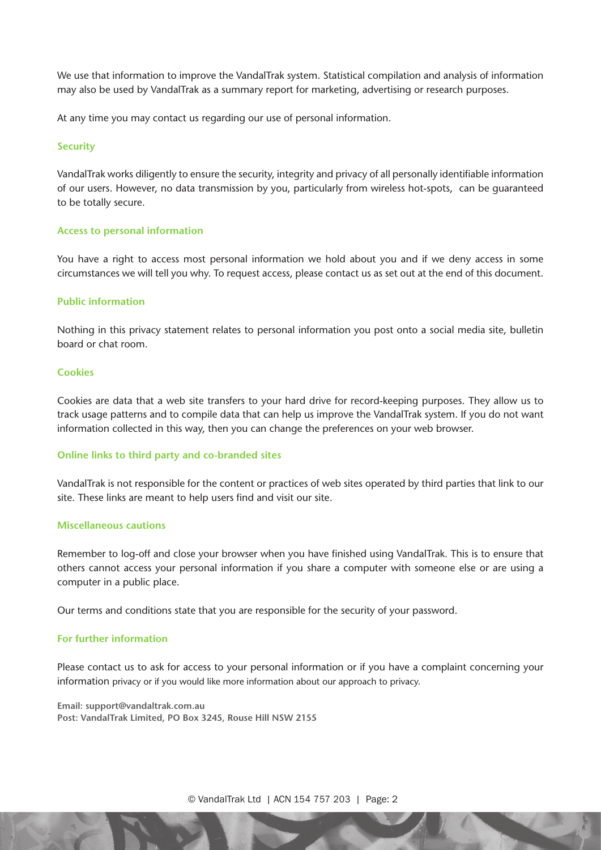We use that information to improve the VandalTrak system. Statistical compilation and analysis of information may also be used by VandalTrak as a summary report for marketing, advertising or research purposes.

At any time you may contact us regarding our use of personal information.

#### **Security**

VandalTrak works diligently to ensure the security, integrity and privacy of all personally identifiable information of our users. However, no data transmission by you, particularly from wireless hot-spots, can be guaranteed to be totally secure.

#### **Access to personal information**

You have a right to access most personal information we hold about you and if we deny access in some circumstances we will tell you why. To request access, please contact us as set out at the end of this document.

#### **Public information**

Nothing in this privacy statement relates to personal information you post onto a social media site, bulletin board or chat room.

#### **Cookies**

Cookies are data that a web site transfers to your hard drive for record-keeping purposes. They allow us to track usage patterns and to compile data that can help us improve the VandalTrak system. If you do not want information collected in this way, then you can change the preferences on your web browser.

#### **Online links to third party and co-branded sites**

VandalTrak is not responsible for the content or practices of web sites operated by third parties that link to our site. These links are meant to help users find and visit our site.

#### **Miscellaneous cautions**

Remember to log-off and close your browser when you have finished using VandalTrak. This is to ensure that others cannot access your personal information if you share a computer with someone else or are using a computer in a public place.

Our terms and conditions state that you are responsible for the security of your password.

#### **For further information**

Please contact us to ask for access to your personal information or if you have a complaint concerning your information privacy or if you would like more information about our approach to privacy.

**Email: support@vandaltrak.com.au Post: VandalTrak Limited, PO Box 3245, Rouse Hill NSW 2155**